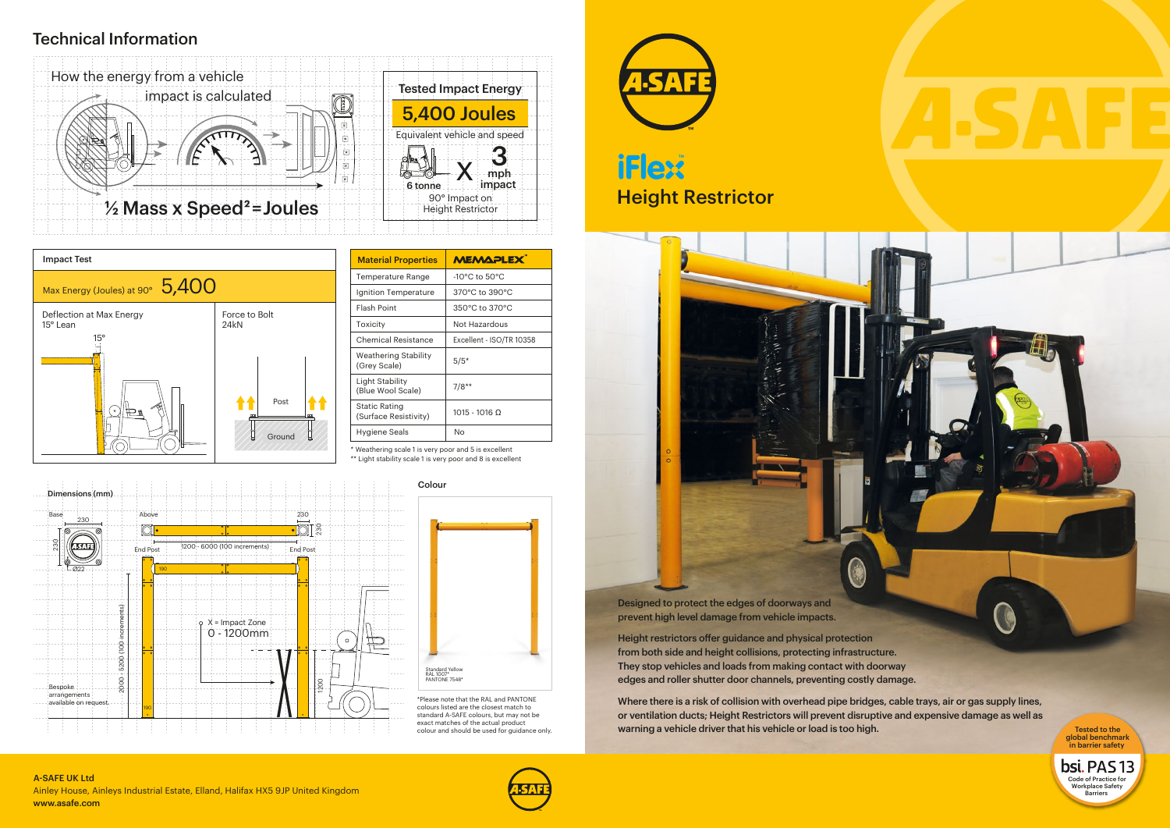## Technical Information

## Height Restrictor **TF** ex



\*Please note that the RAL and PANTONE colours listed are the closest match to standard A-SAFE colours, but may not be exact matches of the actual product colour and should be used for guidance only.





\* Weathering scale 1 is very poor and 5 is excellent \*\* Light stability scale 1 is very poor and 8 is excellent



| <b>MEMAPLEX</b>                   |  |
|-----------------------------------|--|
| $-10^{\circ}$ C to $50^{\circ}$ C |  |
| 370°C to 390°C                    |  |
| 350°C to 370°C                    |  |
| Not Hazardous                     |  |
| Excellent - ISO/TR 10358          |  |
| $5/5*$                            |  |
| $7/8**$                           |  |
| 1015 - 1016 0                     |  |
| N٥                                |  |
|                                   |  |

Height restrictors offer guidance and physical protection from both side and height collisions, protecting infrastructure. They stop vehicles and loads from making contact with doorway edges and roller shutter door channels, preventing costly damage.

Where there is a risk of collision with overhead pipe bridges, cable trays, air or gas supply lines, or ventilation ducts; Height Restrictors will prevent disruptive and expensive damage as well as warning a vehicle driver that his vehicle or load is too high. Tested to the Tested to the





Designed to protect the edges of doorways and prevent high level damage from vehicle impacts.

> global benchmark in barrier safety